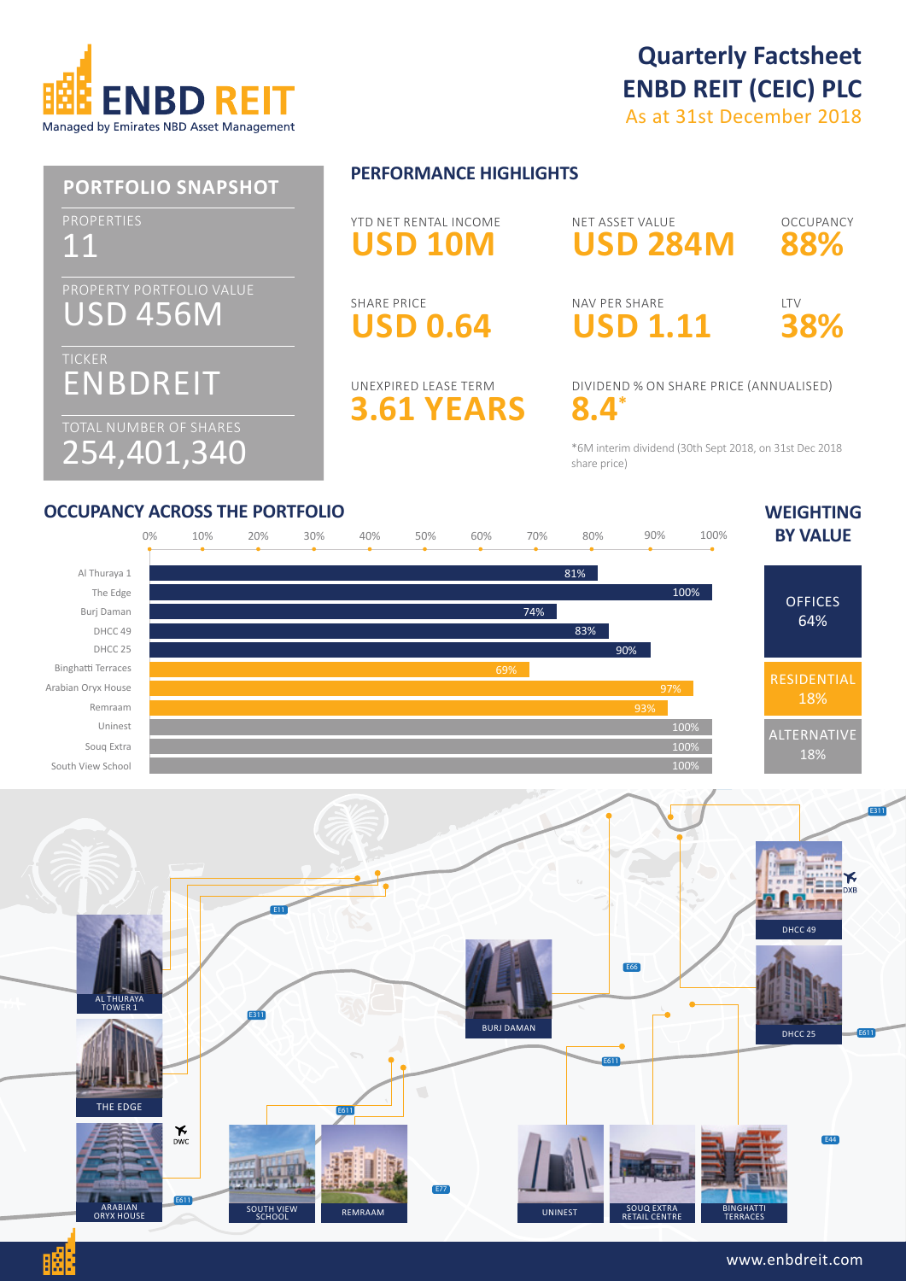

# **Quarterly Factsheet ENBD REIT (CEIC) PLC**

As at 31st December 2018



\*6M interim dividend (30th Sept 2018, on 31st Dec 2018 share price)

### **OCCUPANCY ACROSS THE PORTFOLIO WEIGHTING**

BĠ